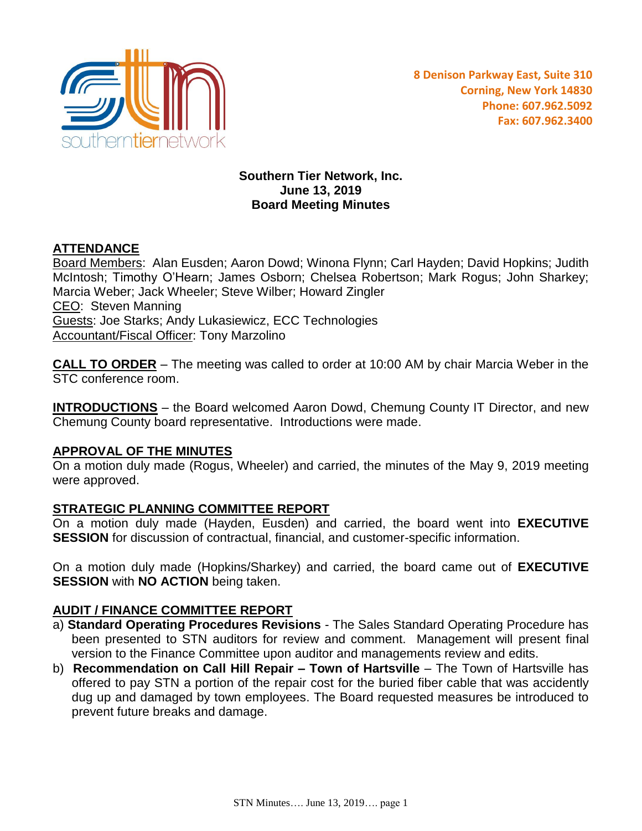

## **Southern Tier Network, Inc. June 13, 2019 Board Meeting Minutes**

# **ATTENDANCE**

Board Members: Alan Eusden; Aaron Dowd; Winona Flynn; Carl Hayden; David Hopkins; Judith McIntosh; Timothy O'Hearn; James Osborn; Chelsea Robertson; Mark Rogus; John Sharkey; Marcia Weber; Jack Wheeler; Steve Wilber; Howard Zingler CEO: Steven Manning Guests: Joe Starks; Andy Lukasiewicz, ECC Technologies **Accountant/Fiscal Officer: Tony Marzolino** 

**CALL TO ORDER** – The meeting was called to order at 10:00 AM by chair Marcia Weber in the STC conference room.

**INTRODUCTIONS** – the Board welcomed Aaron Dowd, Chemung County IT Director, and new Chemung County board representative. Introductions were made.

#### **APPROVAL OF THE MINUTES**

On a motion duly made (Rogus, Wheeler) and carried, the minutes of the May 9, 2019 meeting were approved.

## **STRATEGIC PLANNING COMMITTEE REPORT**

On a motion duly made (Hayden, Eusden) and carried, the board went into **EXECUTIVE SESSION** for discussion of contractual, financial, and customer-specific information.

On a motion duly made (Hopkins/Sharkey) and carried, the board came out of **EXECUTIVE SESSION** with **NO ACTION** being taken.

## **AUDIT / FINANCE COMMITTEE REPORT**

- a) **Standard Operating Procedures Revisions** The Sales Standard Operating Procedure has been presented to STN auditors for review and comment. Management will present final version to the Finance Committee upon auditor and managements review and edits.
- b) **Recommendation on Call Hill Repair – Town of Hartsville** The Town of Hartsville has offered to pay STN a portion of the repair cost for the buried fiber cable that was accidently dug up and damaged by town employees. The Board requested measures be introduced to prevent future breaks and damage.